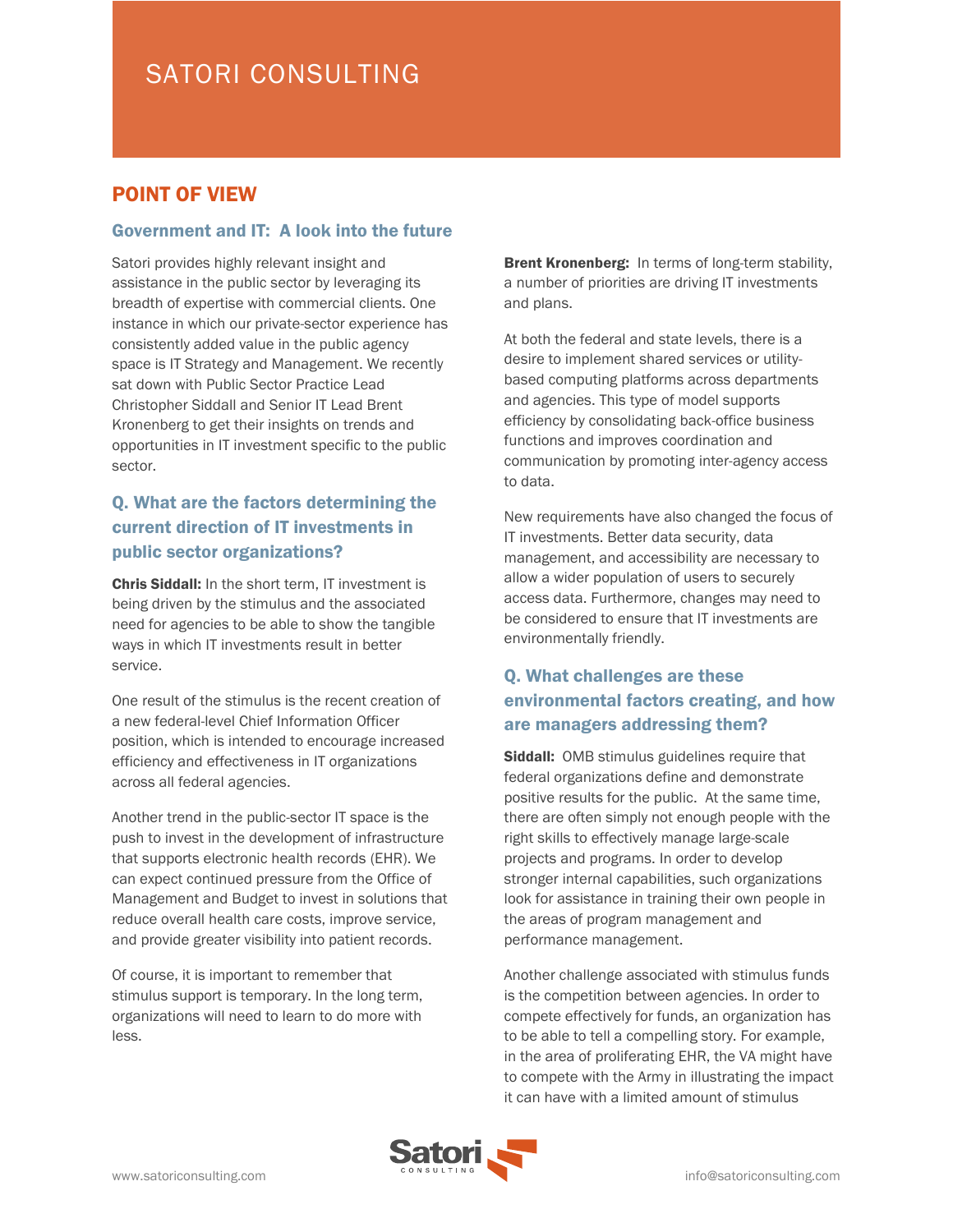# POINT OF VIEW

#### Government and IT: A look into the future

Satori provides highly relevant insight and assistance in the public sector by leveraging its breadth of expertise with commercial clients. One instance in which our private-sector experience has consistently added value in the public agency space is IT Strategy and Management. We recently sat down with Public Sector Practice Lead Christopher Siddall and Senior IT Lead Brent Kronenberg to get their insights on trends and opportunities in IT investment specific to the public sector.

# Q. What are the factors determining the current direction of IT investments in public sector organizations?

Chris Siddall: In the short term, IT investment is being driven by the stimulus and the associated need for agencies to be able to show the tangible ways in which IT investments result in better service.

One result of the stimulus is the recent creation of a new federal-level Chief Information Officer position, which is intended to encourage increased efficiency and effectiveness in IT organizations across all federal agencies.

Another trend in the public-sector IT space is the push to invest in the development of infrastructure that supports electronic health records (EHR). We can expect continued pressure from the Office of Management and Budget to invest in solutions that reduce overall health care costs, improve service, and provide greater visibility into patient records.

Of course, it is important to remember that stimulus support is temporary. In the long term, organizations will need to learn to do more with less.

**Brent Kronenberg:** In terms of long-term stability, a number of priorities are driving IT investments and plans.

At both the federal and state levels, there is a desire to implement shared services or utilitybased computing platforms across departments and agencies. This type of model supports efficiency by consolidating back-office business functions and improves coordination and communication by promoting inter-agency access to data.

New requirements have also changed the focus of IT investments. Better data security, data management, and accessibility are necessary to allow a wider population of users to securely access data. Furthermore, changes may need to be considered to ensure that IT investments are environmentally friendly.

## Q. What challenges are these environmental factors creating, and how are managers addressing them?

**Siddall:** OMB stimulus guidelines require that federal organizations define and demonstrate positive results for the public. At the same time, there are often simply not enough people with the right skills to effectively manage large-scale projects and programs. In order to develop stronger internal capabilities, such organizations look for assistance in training their own people in the areas of program management and performance management.

Another challenge associated with stimulus funds is the competition between agencies. In order to compete effectively for funds, an organization has to be able to tell a compelling story. For example, in the area of proliferating EHR, the VA might have to compete with the Army in illustrating the impact it can have with a limited amount of stimulus